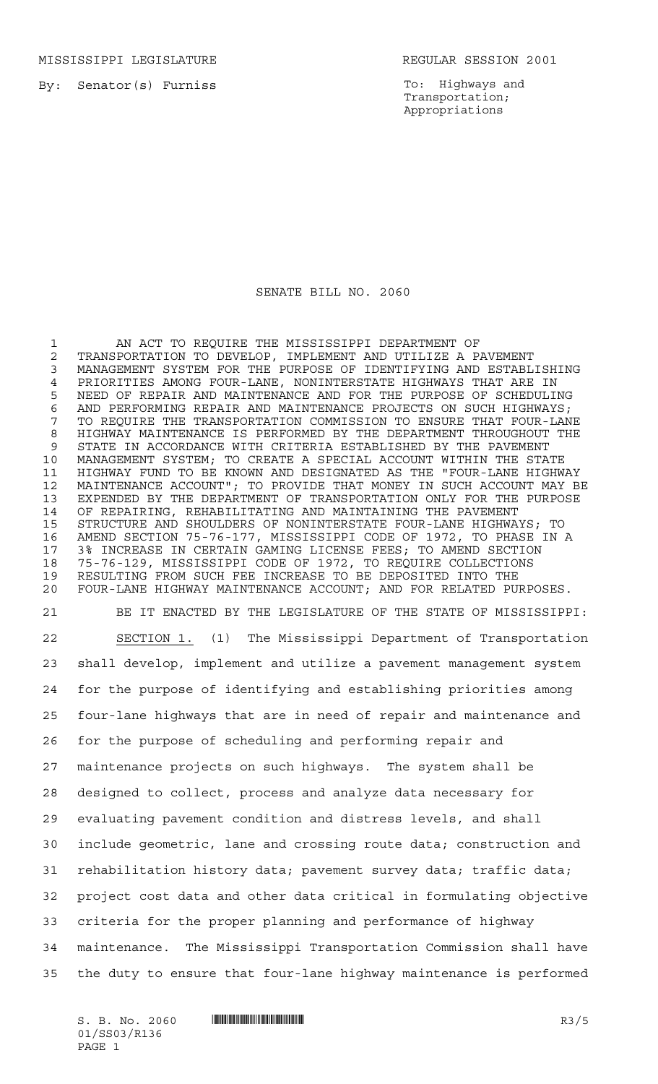MISSISSIPPI LEGISLATURE **REGULAR SESSION 2001** 

By: Senator(s) Furniss

To: Highways and Transportation; Appropriations

## SENATE BILL NO. 2060

 AN ACT TO REQUIRE THE MISSISSIPPI DEPARTMENT OF TRANSPORTATION TO DEVELOP, IMPLEMENT AND UTILIZE A PAVEMENT MANAGEMENT SYSTEM FOR THE PURPOSE OF IDENTIFYING AND ESTABLISHING 4 PRIORITIES AMONG FOUR-LANE, NONINTERSTATE HIGHWAYS THAT ARE IN<br>5 NEED OF REPAIR AND MAINTENANCE AND FOR THE PURPOSE OF SCHEDULI NEED OF REPAIR AND MAINTENANCE AND FOR THE PURPOSE OF SCHEDULING AND PERFORMING REPAIR AND MAINTENANCE PROJECTS ON SUCH HIGHWAYS; TO REQUIRE THE TRANSPORTATION COMMISSION TO ENSURE THAT FOUR-LANE HIGHWAY MAINTENANCE IS PERFORMED BY THE DEPARTMENT THROUGHOUT THE STATE IN ACCORDANCE WITH CRITERIA ESTABLISHED BY THE PAVEMENT MANAGEMENT SYSTEM; TO CREATE A SPECIAL ACCOUNT WITHIN THE STATE HIGHWAY FUND TO BE KNOWN AND DESIGNATED AS THE "FOUR-LANE HIGHWAY MAINTENANCE ACCOUNT"; TO PROVIDE THAT MONEY IN SUCH ACCOUNT MAY BE EXPENDED BY THE DEPARTMENT OF TRANSPORTATION ONLY FOR THE PURPOSE OF REPAIRING, REHABILITATING AND MAINTAINING THE PAVEMENT STRUCTURE AND SHOULDERS OF NONINTERSTATE FOUR-LANE HIGHWAYS; TO AMEND SECTION 75-76-177, MISSISSIPPI CODE OF 1972, TO PHASE IN A 3% INCREASE IN CERTAIN GAMING LICENSE FEES; TO AMEND SECTION 75-76-129, MISSISSIPPI CODE OF 1972, TO REQUIRE COLLECTIONS RESULTING FROM SUCH FEE INCREASE TO BE DEPOSITED INTO THE FOUR-LANE HIGHWAY MAINTENANCE ACCOUNT; AND FOR RELATED PURPOSES. BE IT ENACTED BY THE LEGISLATURE OF THE STATE OF MISSISSIPPI: SECTION 1. (1) The Mississippi Department of Transportation shall develop, implement and utilize a pavement management system for the purpose of identifying and establishing priorities among four-lane highways that are in need of repair and maintenance and for the purpose of scheduling and performing repair and maintenance projects on such highways. The system shall be designed to collect, process and analyze data necessary for evaluating pavement condition and distress levels, and shall include geometric, lane and crossing route data; construction and rehabilitation history data; pavement survey data; traffic data; project cost data and other data critical in formulating objective criteria for the proper planning and performance of highway maintenance. The Mississippi Transportation Commission shall have the duty to ensure that four-lane highway maintenance is performed

01/SS03/R136 PAGE 1

 $S. B. No. 2060$  ...  $\blacksquare$   $\blacksquare$   $\blacksquare$   $\blacksquare$   $\blacksquare$   $\blacksquare$   $\blacksquare$   $\blacksquare$   $\blacksquare$   $\blacksquare$   $\blacksquare$   $\blacksquare$   $\blacksquare$   $\blacksquare$   $\blacksquare$   $\blacksquare$   $\blacksquare$   $\blacksquare$   $\blacksquare$   $\blacksquare$   $\blacksquare$   $\blacksquare$   $\blacksquare$   $\blacksquare$   $\blacksquare$   $\blacksquare$   $\blacksquare$   $\blacksquare$   $\blacksquare$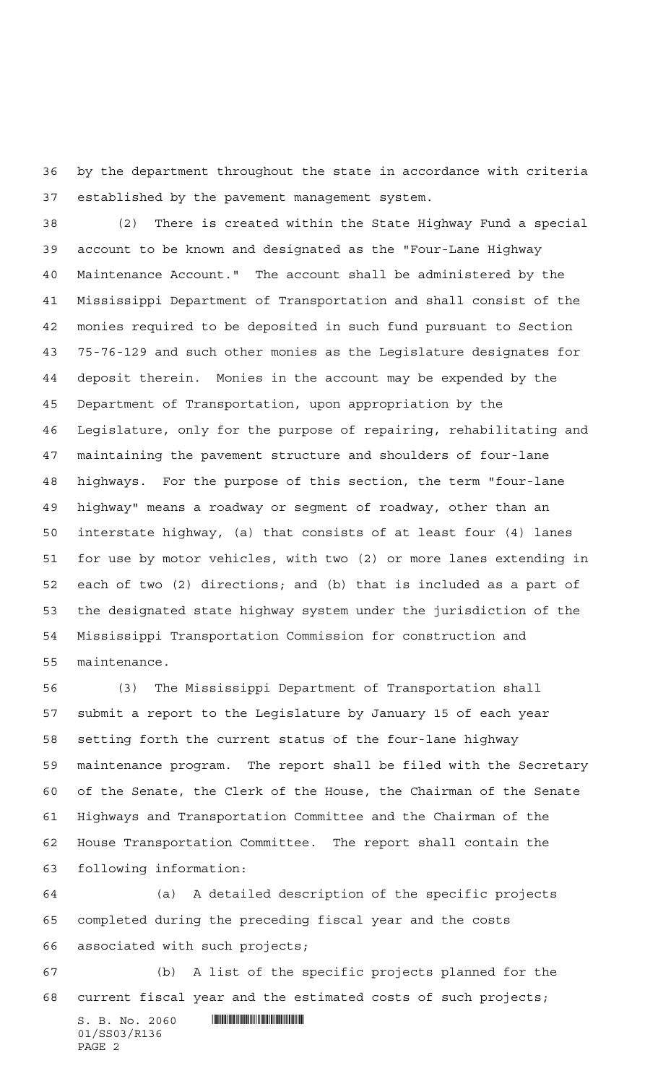by the department throughout the state in accordance with criteria established by the pavement management system.

 (2) There is created within the State Highway Fund a special account to be known and designated as the "Four-Lane Highway Maintenance Account." The account shall be administered by the Mississippi Department of Transportation and shall consist of the monies required to be deposited in such fund pursuant to Section 75-76-129 and such other monies as the Legislature designates for deposit therein. Monies in the account may be expended by the Department of Transportation, upon appropriation by the Legislature, only for the purpose of repairing, rehabilitating and maintaining the pavement structure and shoulders of four-lane highways. For the purpose of this section, the term "four-lane highway" means a roadway or segment of roadway, other than an interstate highway, (a) that consists of at least four (4) lanes for use by motor vehicles, with two (2) or more lanes extending in each of two (2) directions; and (b) that is included as a part of the designated state highway system under the jurisdiction of the Mississippi Transportation Commission for construction and maintenance.

 (3) The Mississippi Department of Transportation shall submit a report to the Legislature by January 15 of each year setting forth the current status of the four-lane highway maintenance program. The report shall be filed with the Secretary of the Senate, the Clerk of the House, the Chairman of the Senate Highways and Transportation Committee and the Chairman of the House Transportation Committee. The report shall contain the following information:

 (a) A detailed description of the specific projects completed during the preceding fiscal year and the costs associated with such projects;

 (b) A list of the specific projects planned for the current fiscal year and the estimated costs of such projects;

 $S. B. No. 2060$  .  $\blacksquare$ 01/SS03/R136 PAGE 2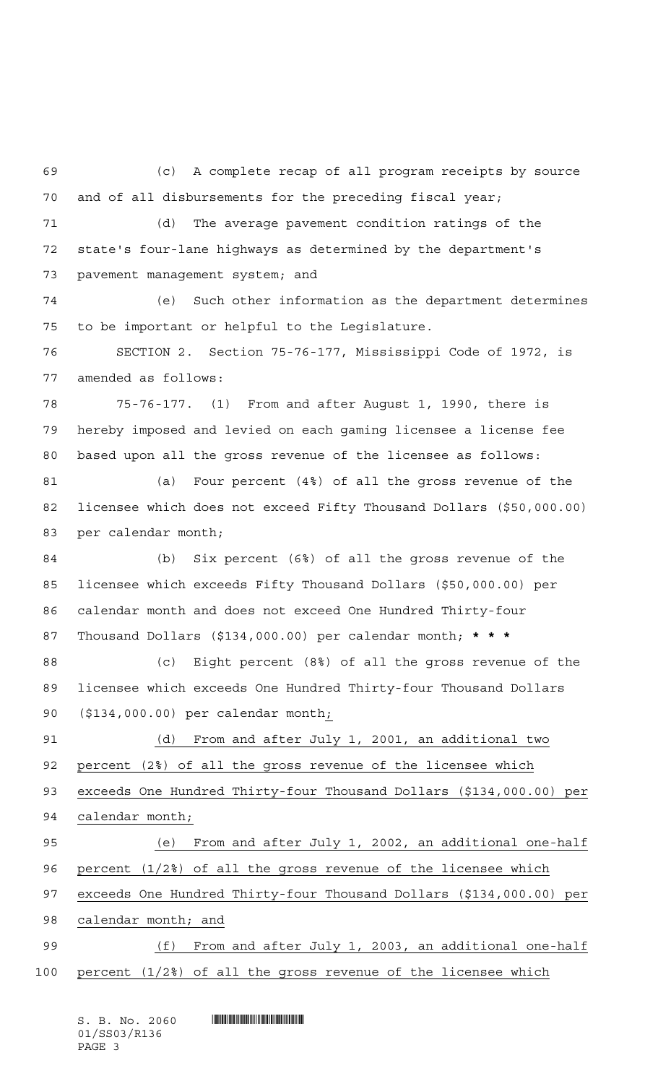(c) A complete recap of all program receipts by source and of all disbursements for the preceding fiscal year; (d) The average pavement condition ratings of the state's four-lane highways as determined by the department's pavement management system; and (e) Such other information as the department determines to be important or helpful to the Legislature. SECTION 2. Section 75-76-177, Mississippi Code of 1972, is amended as follows: 75-76-177. (1) From and after August 1, 1990, there is hereby imposed and levied on each gaming licensee a license fee based upon all the gross revenue of the licensee as follows: (a) Four percent (4%) of all the gross revenue of the licensee which does not exceed Fifty Thousand Dollars (\$50,000.00) per calendar month; (b) Six percent (6%) of all the gross revenue of the licensee which exceeds Fifty Thousand Dollars (\$50,000.00) per calendar month and does not exceed One Hundred Thirty-four Thousand Dollars (\$134,000.00) per calendar month; **\*\*\*** (c) Eight percent (8%) of all the gross revenue of the licensee which exceeds One Hundred Thirty-four Thousand Dollars 90 (\$134,000.00) per calendar month<sub>i</sub> (d) From and after July 1, 2001, an additional two percent (2%) of all the gross revenue of the licensee which exceeds One Hundred Thirty-four Thousand Dollars (\$134,000.00) per calendar month; (e) From and after July 1, 2002, an additional one-half percent (1/2%) of all the gross revenue of the licensee which exceeds One Hundred Thirty-four Thousand Dollars (\$134,000.00) per calendar month; and 99 (f) From and after July 1, 2003, an additional one-half percent (1/2%) of all the gross revenue of the licensee which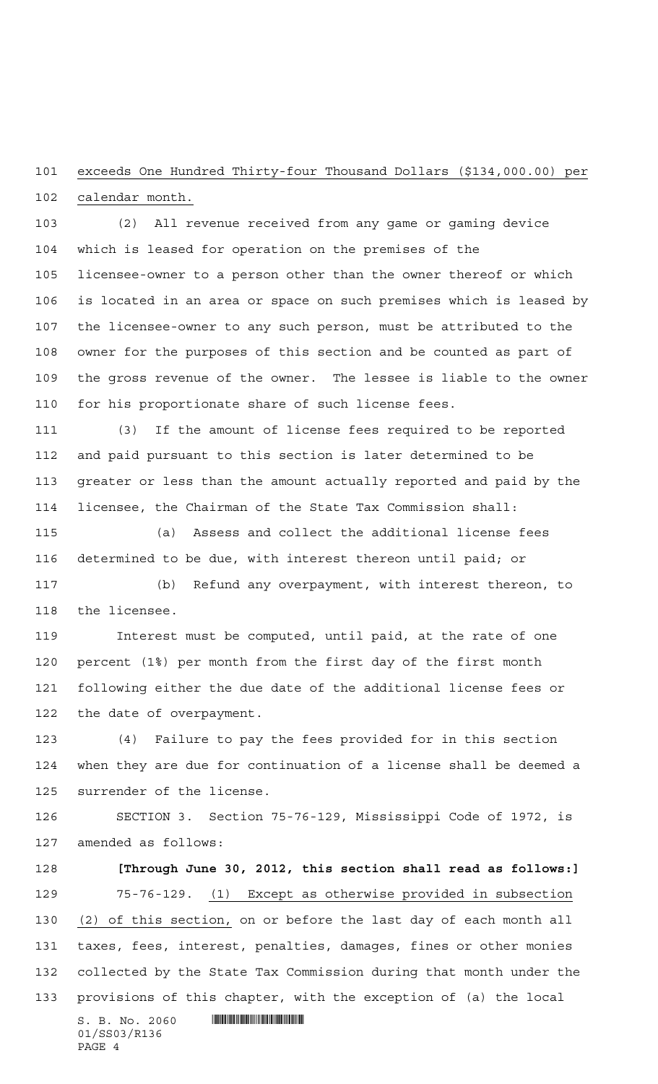## exceeds One Hundred Thirty-four Thousand Dollars (\$134,000.00) per calendar month.

 (2) All revenue received from any game or gaming device which is leased for operation on the premises of the licensee-owner to a person other than the owner thereof or which is located in an area or space on such premises which is leased by the licensee-owner to any such person, must be attributed to the owner for the purposes of this section and be counted as part of the gross revenue of the owner. The lessee is liable to the owner for his proportionate share of such license fees.

 (3) If the amount of license fees required to be reported and paid pursuant to this section is later determined to be greater or less than the amount actually reported and paid by the licensee, the Chairman of the State Tax Commission shall:

 (a) Assess and collect the additional license fees determined to be due, with interest thereon until paid; or (b) Refund any overpayment, with interest thereon, to

the licensee.

 Interest must be computed, until paid, at the rate of one percent (1%) per month from the first day of the first month following either the due date of the additional license fees or the date of overpayment.

 (4) Failure to pay the fees provided for in this section when they are due for continuation of a license shall be deemed a surrender of the license.

 SECTION 3. Section 75-76-129, Mississippi Code of 1972, is amended as follows:

 **[Through June 30, 2012, this section shall read as follows:]** 75-76-129. (1) Except as otherwise provided in subsection (2) of this section, on or before the last day of each month all taxes, fees, interest, penalties, damages, fines or other monies collected by the State Tax Commission during that month under the provisions of this chapter, with the exception of (a) the local

 $S. B. No. 2060$  .  $\blacksquare$ 01/SS03/R136 PAGE 4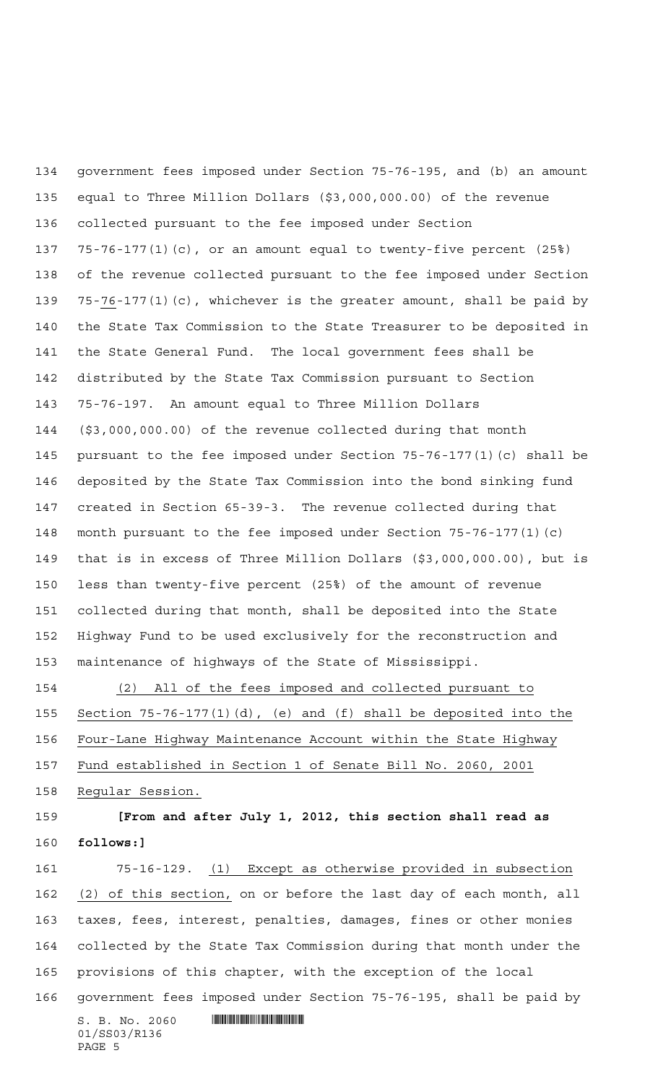government fees imposed under Section 75-76-195, and (b) an amount equal to Three Million Dollars (\$3,000,000.00) of the revenue collected pursuant to the fee imposed under Section 75-76-177(1)(c), or an amount equal to twenty-five percent (25%) of the revenue collected pursuant to the fee imposed under Section 75-76-177(1)(c), whichever is the greater amount, shall be paid by the State Tax Commission to the State Treasurer to be deposited in the State General Fund. The local government fees shall be distributed by the State Tax Commission pursuant to Section 75-76-197. An amount equal to Three Million Dollars (\$3,000,000.00) of the revenue collected during that month pursuant to the fee imposed under Section 75-76-177(1)(c) shall be deposited by the State Tax Commission into the bond sinking fund created in Section 65-39-3. The revenue collected during that month pursuant to the fee imposed under Section 75-76-177(1)(c) that is in excess of Three Million Dollars (\$3,000,000.00), but is less than twenty-five percent (25%) of the amount of revenue collected during that month, shall be deposited into the State Highway Fund to be used exclusively for the reconstruction and maintenance of highways of the State of Mississippi. (2) All of the fees imposed and collected pursuant to

 Section 75-76-177(1)(d), (e) and (f) shall be deposited into the Four-Lane Highway Maintenance Account within the State Highway Fund established in Section 1 of Senate Bill No. 2060, 2001 Regular Session.

## **[From and after July 1, 2012, this section shall read as follows:]**

 75-16-129. (1) Except as otherwise provided in subsection 162 (2) of this section, on or before the last day of each month, all taxes, fees, interest, penalties, damages, fines or other monies collected by the State Tax Commission during that month under the provisions of this chapter, with the exception of the local government fees imposed under Section 75-76-195, shall be paid by

 $S. B. No. 2060$  .  $\blacksquare$ 01/SS03/R136 PAGE 5